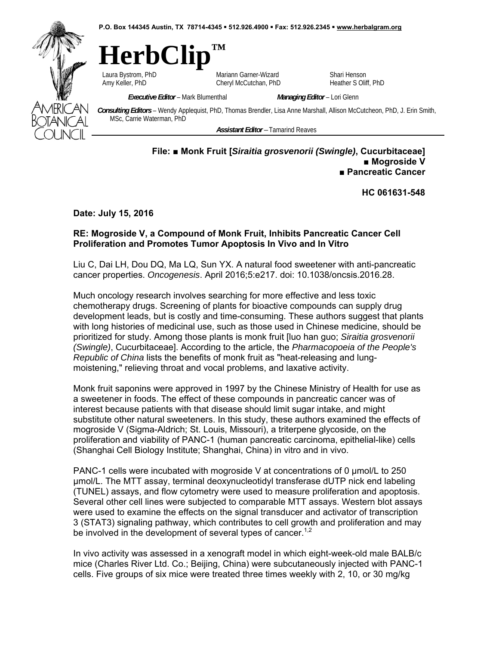**P.O. Box 144345 Austin, TX 78714-4345 512.926.4900 Fax: 512.926.2345 www.herbalgram.org** 



# **HerbClip™**

Laura Bystrom, PhD **Mariann Garner-Wizard** Shari Henson<br>
Cheryl McCutchan, PhD Heather S Olif (Cheryl McCutchan, PhD Heather S Olif Cheryl McCutchan, PhD Heather S Oliff, PhD

*Executive Editor* – Mark Blumenthal *Managing Editor* – Lori Glenn

*Consulting Editors* – Wendy Applequist, PhD, Thomas Brendler, Lisa Anne Marshall, Allison McCutcheon, PhD, J. Erin Smith, MSc, Carrie Waterman, PhD

*Assistant Editor –* Tamarind Reaves

## **File: ■ Monk Fruit [***Siraitia grosvenorii (Swingle)***, Cucurbitaceae] ■ Mogroside V ■ Pancreatic Cancer**

**HC 061631-548** 

**Date: July 15, 2016** 

## **RE: Mogroside V, a Compound of Monk Fruit, Inhibits Pancreatic Cancer Cell Proliferation and Promotes Tumor Apoptosis In Vivo and In Vitro**

Liu C, Dai LH, Dou DQ, Ma LQ, Sun YX. A natural food sweetener with anti-pancreatic cancer properties. *Oncogenesis*. April 2016;5:e217. doi: 10.1038/oncsis.2016.28.

Much oncology research involves searching for more effective and less toxic chemotherapy drugs. Screening of plants for bioactive compounds can supply drug development leads, but is costly and time-consuming. These authors suggest that plants with long histories of medicinal use, such as those used in Chinese medicine, should be prioritized for study. Among those plants is monk fruit [luo han guo; *Siraitia grosvenorii (Swingle)*, Cucurbitaceae]. According to the article, the *Pharmacopoeia of the People's Republic of China* lists the benefits of monk fruit as "heat-releasing and lungmoistening," relieving throat and vocal problems, and laxative activity.

Monk fruit saponins were approved in 1997 by the Chinese Ministry of Health for use as a sweetener in foods. The effect of these compounds in pancreatic cancer was of interest because patients with that disease should limit sugar intake, and might substitute other natural sweeteners. In this study, these authors examined the effects of mogroside V (Sigma-Aldrich; St. Louis, Missouri), a triterpene glycoside, on the proliferation and viability of PANC-1 (human pancreatic carcinoma, epithelial-like) cells (Shanghai Cell Biology Institute; Shanghai, China) in vitro and in vivo.

PANC-1 cells were incubated with mogroside V at concentrations of 0  $\mu$ mol/L to 250 µmol/L. The MTT assay, terminal deoxynucleotidyl transferase dUTP nick end labeling (TUNEL) assays, and flow cytometry were used to measure proliferation and apoptosis. Several other cell lines were subjected to comparable MTT assays. Western blot assays were used to examine the effects on the signal transducer and activator of transcription 3 (STAT3) signaling pathway, which contributes to cell growth and proliferation and may be involved in the development of several types of cancer.<sup>1,2</sup>

In vivo activity was assessed in a xenograft model in which eight-week-old male BALB/c mice (Charles River Ltd. Co.; Beijing, China) were subcutaneously injected with PANC-1 cells. Five groups of six mice were treated three times weekly with 2, 10, or 30 mg/kg